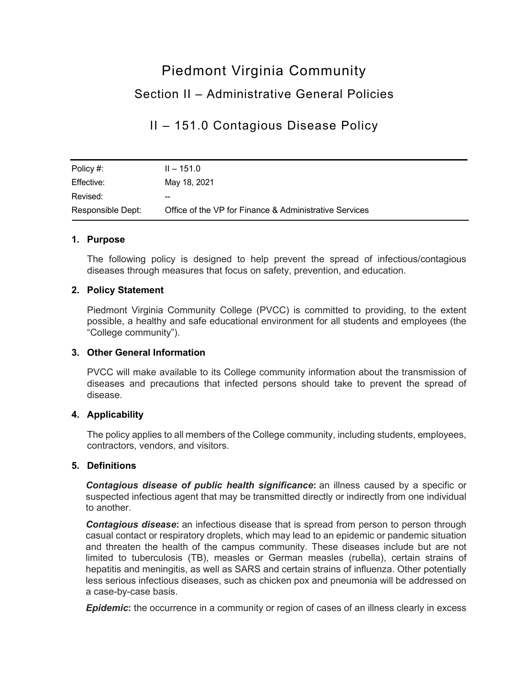# Piedmont Virginia Community Section II – Administrative General Policies

# II – 151.0 Contagious Disease Policy

| Policy #:         | $II - 151.0$                                           |
|-------------------|--------------------------------------------------------|
| Effective:        | May 18, 2021                                           |
| Revised:          | --                                                     |
| Responsible Dept: | Office of the VP for Finance & Administrative Services |

# **1. Purpose**

The following policy is designed to help prevent the spread of infectious/contagious diseases through measures that focus on safety, prevention, and education.

# **2. Policy Statement**

Piedmont Virginia Community College (PVCC) is committed to providing, to the extent possible, a healthy and safe educational environment for all students and employees (the "College community").

# **3. Other General Information**

PVCC will make available to its College community information about the transmission of diseases and precautions that infected persons should take to prevent the spread of disease.

# **4. Applicability**

The policy applies to all members of the College community, including students, employees, contractors, vendors, and visitors.

# **5. Definitions**

*Contagious disease of public health significance***:** an illness caused by a specific or suspected infectious agent that may be transmitted directly or indirectly from one individual to another.

**Contagious disease:** an infectious disease that is spread from person to person through casual contact or respiratory droplets, which may lead to an epidemic or pandemic situation and threaten the health of the campus community. These diseases include but are not limited to tuberculosis (TB), measles or German measles (rubella), certain strains of hepatitis and meningitis, as well as SARS and certain strains of influenza. Other potentially less serious infectious diseases, such as chicken pox and pneumonia will be addressed on a case-by-case basis.

**Epidemic:** the occurrence in a community or region of cases of an illness clearly in excess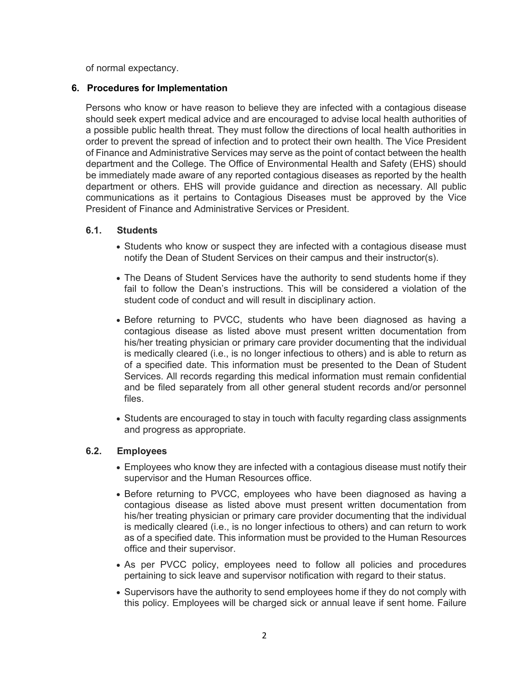of normal expectancy.

# **6. Procedures for Implementation**

Persons who know or have reason to believe they are infected with a contagious disease should seek expert medical advice and are encouraged to advise local health authorities of a possible public health threat. They must follow the directions of local health authorities in order to prevent the spread of infection and to protect their own health. The Vice President of Finance and Administrative Services may serve as the point of contact between the health department and the College. The Office of Environmental Health and Safety (EHS) should be immediately made aware of any reported contagious diseases as reported by the health department or others. EHS will provide guidance and direction as necessary. All public communications as it pertains to Contagious Diseases must be approved by the Vice President of Finance and Administrative Services or President.

#### **6.1. Students**

- Students who know or suspect they are infected with a contagious disease must notify the Dean of Student Services on their campus and their instructor(s).
- The Deans of Student Services have the authority to send students home if they fail to follow the Dean's instructions. This will be considered a violation of the student code of conduct and will result in disciplinary action.
- Before returning to PVCC, students who have been diagnosed as having a contagious disease as listed above must present written documentation from his/her treating physician or primary care provider documenting that the individual is medically cleared (i.e., is no longer infectious to others) and is able to return as of a specified date. This information must be presented to the Dean of Student Services. All records regarding this medical information must remain confidential and be filed separately from all other general student records and/or personnel files.
- Students are encouraged to stay in touch with faculty regarding class assignments and progress as appropriate.

# **6.2. Employees**

- Employees who know they are infected with a contagious disease must notify their supervisor and the Human Resources office.
- Before returning to PVCC, employees who have been diagnosed as having a contagious disease as listed above must present written documentation from his/her treating physician or primary care provider documenting that the individual is medically cleared (i.e., is no longer infectious to others) and can return to work as of a specified date. This information must be provided to the Human Resources office and their supervisor.
- As per PVCC policy, employees need to follow all policies and procedures pertaining to sick leave and supervisor notification with regard to their status.
- Supervisors have the authority to send employees home if they do not comply with this policy. Employees will be charged sick or annual leave if sent home. Failure